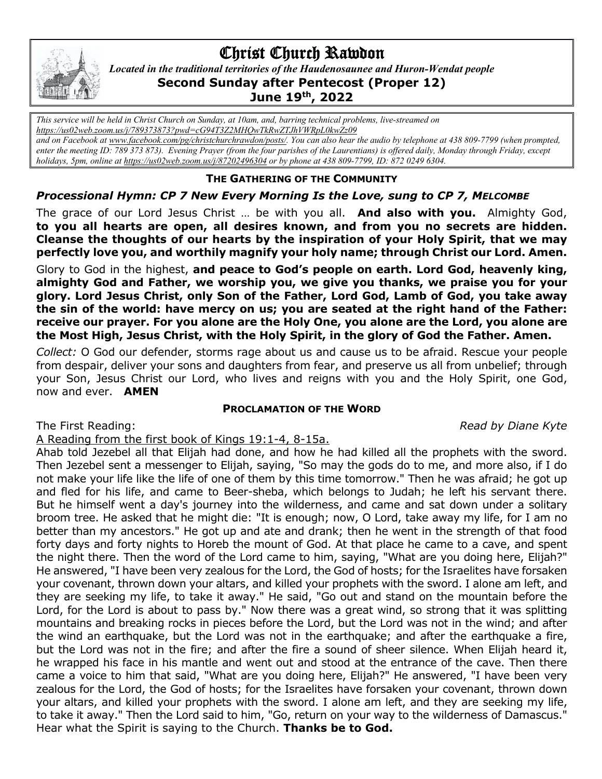

# Christ Church Rawdon

*Located in the traditional territories of the Haudenosaunee and Huron-Wendat people* **Second Sunday after Pentecost (Proper 12) June 19th, 2022**

*This service will be held in Christ Church on Sunday, at 10am, and, barring technical problems, live-streamed on https://us02web.zoom.us/j/789373873?pwd=cG94T3Z2MHQwTkRwZTJhVWRpL0kwZz09*

and on Facebook at www.facebook.com/pg/christchurchrawdon/posts/. You can also hear the audio by telephone at 438 809-7799 (when prompted, *enter the meeting ID: 789 373 873). Evening Prayer (from the four parishes of the Laurentians) is offered daily, Monday through Friday, except holidays, 5pm, online at https://us02web.zoom.us/j/87202496304 or by phone at 438 809-7799, ID: 872 0249 6304.*

#### **THE GATHERING OF THE COMMUNITY**

### *Processional Hymn: CP 7 New Every Morning Is the Love, sung to CP 7, MELCOMBE*

The grace of our Lord Jesus Christ … be with you all. **And also with you.** Almighty God, **to you all hearts are open, all desires known, and from you no secrets are hidden. Cleanse the thoughts of our hearts by the inspiration of your Holy Spirit, that we may perfectly love you, and worthily magnify your holy name; through Christ our Lord. Amen.**

Glory to God in the highest, **and peace to God's people on earth. Lord God, heavenly king, almighty God and Father, we worship you, we give you thanks, we praise you for your glory. Lord Jesus Christ, only Son of the Father, Lord God, Lamb of God, you take away the sin of the world: have mercy on us; you are seated at the right hand of the Father: receive our prayer. For you alone are the Holy One, you alone are the Lord, you alone are the Most High, Jesus Christ, with the Holy Spirit, in the glory of God the Father. Amen.**

*Collect:* O God our defender, storms rage about us and cause us to be afraid. Rescue your people from despair, deliver your sons and daughters from fear, and preserve us all from unbelief; through your Son, Jesus Christ our Lord, who lives and reigns with you and the Holy Spirit, one God, now and ever. **AMEN**

#### **PROCLAMATION OF THE WORD**

#### The First Reading: *Read by Diane Kyte*

A Reading from the first book of Kings 19:1-4, 8-15a.

Ahab told Jezebel all that Elijah had done, and how he had killed all the prophets with the sword. Then Jezebel sent a messenger to Elijah, saying, "So may the gods do to me, and more also, if I do not make your life like the life of one of them by this time tomorrow." Then he was afraid; he got up and fled for his life, and came to Beer-sheba, which belongs to Judah; he left his servant there. But he himself went a day's journey into the wilderness, and came and sat down under a solitary broom tree. He asked that he might die: "It is enough; now, O Lord, take away my life, for I am no better than my ancestors." He got up and ate and drank; then he went in the strength of that food forty days and forty nights to Horeb the mount of God. At that place he came to a cave, and spent the night there. Then the word of the Lord came to him, saying, "What are you doing here, Elijah?" He answered, "I have been very zealous for the Lord, the God of hosts; for the Israelites have forsaken your covenant, thrown down your altars, and killed your prophets with the sword. I alone am left, and they are seeking my life, to take it away." He said, "Go out and stand on the mountain before the Lord, for the Lord is about to pass by." Now there was a great wind, so strong that it was splitting mountains and breaking rocks in pieces before the Lord, but the Lord was not in the wind; and after the wind an earthquake, but the Lord was not in the earthquake; and after the earthquake a fire, but the Lord was not in the fire; and after the fire a sound of sheer silence. When Elijah heard it, he wrapped his face in his mantle and went out and stood at the entrance of the cave. Then there came a voice to him that said, "What are you doing here, Elijah?" He answered, "I have been very zealous for the Lord, the God of hosts; for the Israelites have forsaken your covenant, thrown down your altars, and killed your prophets with the sword. I alone am left, and they are seeking my life, to take it away." Then the Lord said to him, "Go, return on your way to the wilderness of Damascus." Hear what the Spirit is saying to the Church. **Thanks be to God.**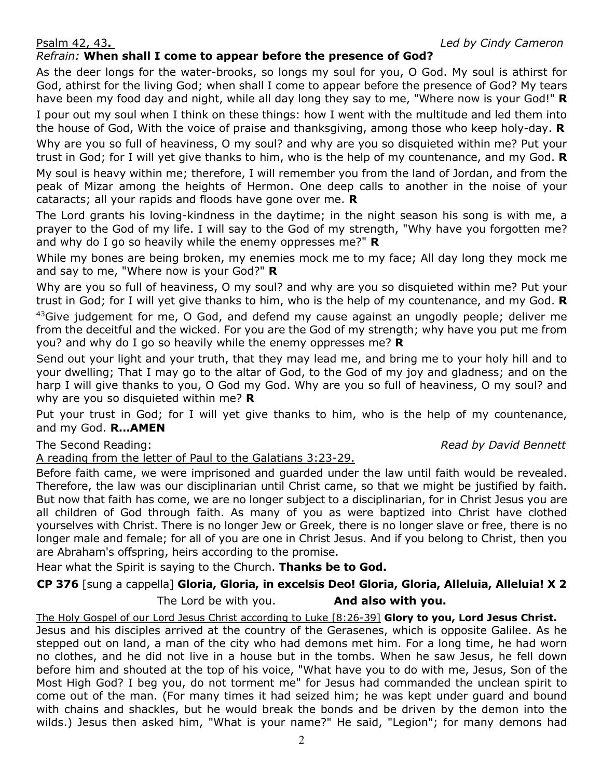#### *Refrain:* **When shall I come to appear before the presence of God?**

As the deer longs for the water-brooks, so longs my soul for you, O God. My soul is athirst for God, athirst for the living God; when shall I come to appear before the presence of God? My tears have been my food day and night, while all day long they say to me, "Where now is your God!" **R**

I pour out my soul when I think on these things: how I went with the multitude and led them into the house of God, With the voice of praise and thanksgiving, among those who keep holy-day. **R**

Why are you so full of heaviness, O my soul? and why are you so disquieted within me? Put your trust in God; for I will yet give thanks to him, who is the help of my countenance, and my God. **R** My soul is heavy within me; therefore, I will remember you from the land of Jordan, and from the peak of Mizar among the heights of Hermon. One deep calls to another in the noise of your cataracts; all your rapids and floods have gone over me. **R**

The Lord grants his loving-kindness in the daytime; in the night season his song is with me, a prayer to the God of my life. I will say to the God of my strength, "Why have you forgotten me? and why do I go so heavily while the enemy oppresses me?" **R**

While my bones are being broken, my enemies mock me to my face; All day long they mock me and say to me, "Where now is your God?" **R**

Why are you so full of heaviness, O my soul? and why are you so disquieted within me? Put your trust in God; for I will yet give thanks to him, who is the help of my countenance, and my God. **R**

<sup>43</sup>Give judgement for me, O God, and defend my cause against an ungodly people; deliver me from the deceitful and the wicked. For you are the God of my strength; why have you put me from you? and why do I go so heavily while the enemy oppresses me? **R**

Send out your light and your truth, that they may lead me, and bring me to your holy hill and to your dwelling; That I may go to the altar of God, to the God of my joy and gladness; and on the harp I will give thanks to you, O God my God. Why are you so full of heaviness, O my soul? and why are you so disquieted within me? **R**

Put your trust in God; for I will yet give thanks to him, who is the help of my countenance, and my God. **R…AMEN**

A reading from the letter of Paul to the Galatians 3:23-29.

Before faith came, we were imprisoned and guarded under the law until faith would be revealed. Therefore, the law was our disciplinarian until Christ came, so that we might be justified by faith. But now that faith has come, we are no longer subject to a disciplinarian, for in Christ Jesus you are all children of God through faith. As many of you as were baptized into Christ have clothed yourselves with Christ. There is no longer Jew or Greek, there is no longer slave or free, there is no longer male and female; for all of you are one in Christ Jesus. And if you belong to Christ, then you are Abraham's offspring, heirs according to the promise.

Hear what the Spirit is saying to the Church. **Thanks be to God.**

**CP 376** [sung a cappella] **Gloria, Gloria, in excelsis Deo! Gloria, Gloria, Alleluia, Alleluia! X 2**

The Lord be with you. **And also with you.**

The Holy Gospel of our Lord Jesus Christ according to Luke [8:26-39] **Glory to you, Lord Jesus Christ.** Jesus and his disciples arrived at the country of the Gerasenes, which is opposite Galilee. As he stepped out on land, a man of the city who had demons met him. For a long time, he had worn no clothes, and he did not live in a house but in the tombs. When he saw Jesus, he fell down before him and shouted at the top of his voice, "What have you to do with me, Jesus, Son of the Most High God? I beg you, do not torment me" for Jesus had commanded the unclean spirit to come out of the man. (For many times it had seized him; he was kept under guard and bound with chains and shackles, but he would break the bonds and be driven by the demon into the wilds.) Jesus then asked him, "What is your name?" He said, "Legion"; for many demons had

The Second Reading: *Read by David Bennett*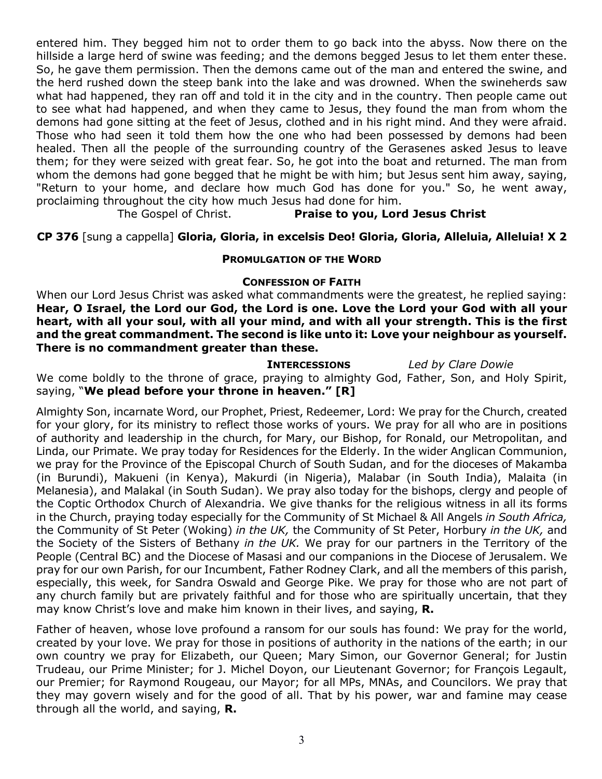entered him. They begged him not to order them to go back into the abyss. Now there on the hillside a large herd of swine was feeding; and the demons begged Jesus to let them enter these. So, he gave them permission. Then the demons came out of the man and entered the swine, and the herd rushed down the steep bank into the lake and was drowned. When the swineherds saw what had happened, they ran off and told it in the city and in the country. Then people came out to see what had happened, and when they came to Jesus, they found the man from whom the demons had gone sitting at the feet of Jesus, clothed and in his right mind. And they were afraid. Those who had seen it told them how the one who had been possessed by demons had been healed. Then all the people of the surrounding country of the Gerasenes asked Jesus to leave them; for they were seized with great fear. So, he got into the boat and returned. The man from whom the demons had gone begged that he might be with him; but Jesus sent him away, saying, "Return to your home, and declare how much God has done for you." So, he went away, proclaiming throughout the city how much Jesus had done for him.

The Gospel of Christ. **Praise to you, Lord Jesus Christ**

#### **CP 376** [sung a cappella] **Gloria, Gloria, in excelsis Deo! Gloria, Gloria, Alleluia, Alleluia! X 2**

#### **PROMULGATION OF THE WORD**

#### **CONFESSION OF FAITH**

When our Lord Jesus Christ was asked what commandments were the greatest, he replied saying: **Hear, O Israel, the Lord our God, the Lord is one. Love the Lord your God with all your heart, with all your soul, with all your mind, and with all your strength. This is the first and the great commandment. The second is like unto it: Love your neighbour as yourself. There is no commandment greater than these.**

**INTERCESSIONS** *Led by Clare Dowie*

We come boldly to the throne of grace, praying to almighty God, Father, Son, and Holy Spirit, saying, "**We plead before your throne in heaven." [R]**

Almighty Son, incarnate Word, our Prophet, Priest, Redeemer, Lord: We pray for the Church, created for your glory, for its ministry to reflect those works of yours. We pray for all who are in positions of authority and leadership in the church, for Mary, our Bishop, for Ronald, our Metropolitan, and Linda, our Primate. We pray today for Residences for the Elderly. In the wider Anglican Communion, we pray for the Province of the Episcopal Church of South Sudan, and for the dioceses of Makamba (in Burundi), Makueni (in Kenya), Makurdi (in Nigeria), Malabar (in South India), Malaita (in Melanesia), and Malakal (in South Sudan). We pray also today for the bishops, clergy and people of the Coptic Orthodox Church of Alexandria. We give thanks for the religious witness in all its forms in the Church, praying today especially for the Community of St Michael & All Angels *in South Africa,*  the Community of St Peter (Woking) *in the UK,* the Community of St Peter, Horbury *in the UK,* and the Society of the Sisters of Bethany *in the UK.* We pray for our partners in the Territory of the People (Central BC) and the Diocese of Masasi and our companions in the Diocese of Jerusalem. We pray for our own Parish, for our Incumbent, Father Rodney Clark, and all the members of this parish, especially, this week, for Sandra Oswald and George Pike. We pray for those who are not part of any church family but are privately faithful and for those who are spiritually uncertain, that they may know Christ's love and make him known in their lives, and saying, **R.**

Father of heaven, whose love profound a ransom for our souls has found: We pray for the world, created by your love. We pray for those in positions of authority in the nations of the earth; in our own country we pray for Elizabeth, our Queen; Mary Simon, our Governor General; for Justin Trudeau, our Prime Minister; for J. Michel Doyon, our Lieutenant Governor; for François Legault, our Premier; for Raymond Rougeau, our Mayor; for all MPs, MNAs, and Councilors. We pray that they may govern wisely and for the good of all. That by his power, war and famine may cease through all the world, and saying, **R.**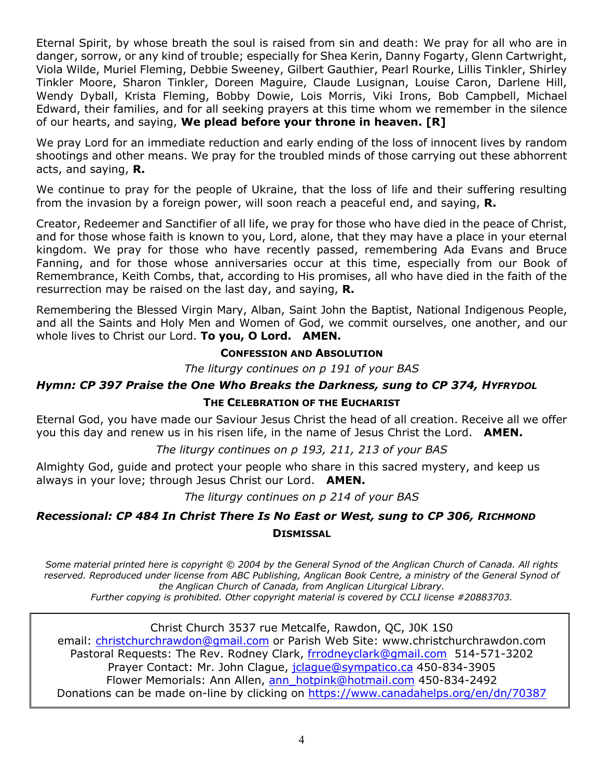Eternal Spirit, by whose breath the soul is raised from sin and death: We pray for all who are in danger, sorrow, or any kind of trouble; especially for Shea Kerin, Danny Fogarty, Glenn Cartwright, Viola Wilde, Muriel Fleming, Debbie Sweeney, Gilbert Gauthier, Pearl Rourke, Lillis Tinkler, Shirley Tinkler Moore, Sharon Tinkler, Doreen Maguire, Claude Lusignan, Louise Caron, Darlene Hill, Wendy Dyball, Krista Fleming, Bobby Dowie, Lois Morris, Viki Irons, Bob Campbell, Michael Edward, their families, and for all seeking prayers at this time whom we remember in the silence of our hearts, and saying, **We plead before your throne in heaven. [R]**

We pray Lord for an immediate reduction and early ending of the loss of innocent lives by random shootings and other means. We pray for the troubled minds of those carrying out these abhorrent acts, and saying, **R.**

We continue to pray for the people of Ukraine, that the loss of life and their suffering resulting from the invasion by a foreign power, will soon reach a peaceful end, and saying, **R.**

Creator, Redeemer and Sanctifier of all life, we pray for those who have died in the peace of Christ, and for those whose faith is known to you, Lord, alone, that they may have a place in your eternal kingdom. We pray for those who have recently passed, remembering Ada Evans and Bruce Fanning, and for those whose anniversaries occur at this time, especially from our Book of Remembrance, Keith Combs, that, according to His promises, all who have died in the faith of the resurrection may be raised on the last day, and saying, **R.**

Remembering the Blessed Virgin Mary, Alban, Saint John the Baptist, National Indigenous People, and all the Saints and Holy Men and Women of God, we commit ourselves, one another, and our whole lives to Christ our Lord. **To you, O Lord. AMEN.**

#### **CONFESSION AND ABSOLUTION**

*The liturgy continues on p 191 of your BAS*

#### *Hymn: CP 397 Praise the One Who Breaks the Darkness, sung to CP 374, HYFRYDOL*

#### **THE CELEBRATION OF THE EUCHARIST**

Eternal God, you have made our Saviour Jesus Christ the head of all creation. Receive all we offer you this day and renew us in his risen life, in the name of Jesus Christ the Lord. **AMEN.**

*The liturgy continues on p 193, 211, 213 of your BAS*

Almighty God, guide and protect your people who share in this sacred mystery, and keep us always in your love; through Jesus Christ our Lord. **AMEN.**

*The liturgy continues on p 214 of your BAS*

#### *Recessional: CP 484 In Christ There Is No East or West, sung to CP 306, RICHMOND* **DISMISSAL**

*Some material printed here is copyright © 2004 by the General Synod of the Anglican Church of Canada. All rights*  reserved. Reproduced under license from ABC Publishing, Anglican Book Centre, a ministry of the General Synod of *the Anglican Church of Canada, from Anglican Liturgical Library.* 

*Further copying is prohibited. Other copyright material is covered by CCLI license #20883703.*

Christ Church 3537 rue Metcalfe, Rawdon, QC, J0K 1S0 email: christchurchrawdon@gmail.com or Parish Web Site: www.christchurchrawdon.com Pastoral Requests: The Rev. Rodney Clark, frrodneyclark@gmail.com 514-571-3202 Prayer Contact: Mr. John Clague, jclague@sympatico.ca 450-834-3905 Flower Memorials: Ann Allen, ann\_hotpink@hotmail.com 450-834-2492 Donations can be made on-line by clicking on https://www.canadahelps.org/en/dn/70387